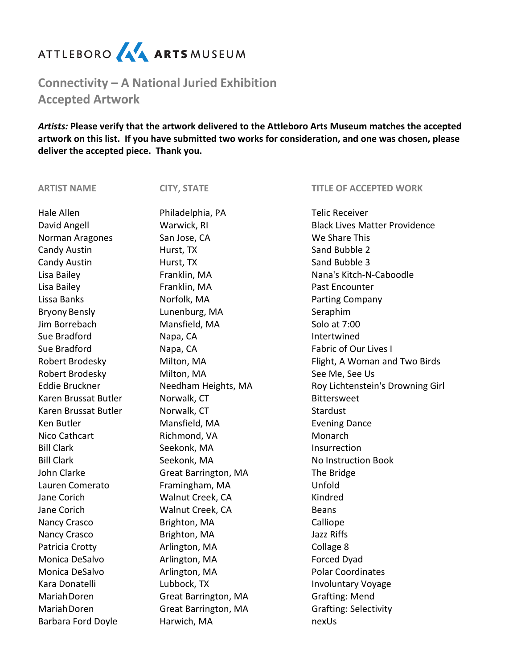## ATTLEBORO AA ARTS MUSEUM

**Connectivity – A National Juried Exhibition Accepted Artwork**

*Artists:* **Please verify that the artwork delivered to the Attleboro Arts Museum matches the accepted artwork on this list. If you have submitted two works for consideration, and one was chosen, please deliver the accepted piece. Thank you.** 

| <b>ARTIST NAME</b>    | <b>CITY, STATE</b>   | <b>TITLE OF ACCEPTED WORK</b>        |
|-----------------------|----------------------|--------------------------------------|
| Hale Allen            | Philadelphia, PA     | <b>Telic Receiver</b>                |
| David Angell          | Warwick, RI          | <b>Black Lives Matter Providence</b> |
| Norman Aragones       | San Jose, CA         | We Share This                        |
| Candy Austin          | Hurst, TX            | Sand Bubble 2                        |
| <b>Candy Austin</b>   | Hurst, TX            | Sand Bubble 3                        |
| Lisa Bailey           | Franklin, MA         | Nana's Kitch-N-Caboodle              |
| Lisa Bailey           | Franklin, MA         | Past Encounter                       |
| Lissa Banks           | Norfolk, MA          | Parting Company                      |
| <b>Bryony Bensly</b>  | Lunenburg, MA        | Seraphim                             |
| Jim Borrebach         | Mansfield, MA        | Solo at 7:00                         |
| Sue Bradford          | Napa, CA             | Intertwined                          |
| Sue Bradford          | Napa, CA             | <b>Fabric of Our Lives I</b>         |
| Robert Brodesky       | Milton, MA           | Flight, A Woman and Two Birds        |
| Robert Brodesky       | Milton, MA           | See Me, See Us                       |
| <b>Eddie Bruckner</b> | Needham Heights, MA  | Roy Lichtenstein's Drowning Girl     |
| Karen Brussat Butler  | Norwalk, CT          | <b>Bittersweet</b>                   |
| Karen Brussat Butler  | Norwalk, CT          | Stardust                             |
| Ken Butler            | Mansfield, MA        | <b>Evening Dance</b>                 |
| Nico Cathcart         | Richmond, VA         | Monarch                              |
| <b>Bill Clark</b>     | Seekonk, MA          | Insurrection                         |
| <b>Bill Clark</b>     | Seekonk, MA          | <b>No Instruction Book</b>           |
| John Clarke           | Great Barrington, MA | The Bridge                           |
| Lauren Comerato       | Framingham, MA       | Unfold                               |
| Jane Corich           | Walnut Creek, CA     | Kindred                              |
| Jane Corich           | Walnut Creek, CA     | <b>Beans</b>                         |
| Nancy Crasco          | Brighton, MA         | Calliope                             |
| Nancy Crasco          | Brighton, MA         | Jazz Riffs                           |
| Patricia Crotty       | Arlington, MA        | Collage 8                            |
| Monica DeSalvo        | Arlington, MA        | Forced Dyad                          |
| Monica DeSalvo        | Arlington, MA        | <b>Polar Coordinates</b>             |
| Kara Donatelli        | Lubbock, TX          | <b>Involuntary Voyage</b>            |
| Mariah Doren          | Great Barrington, MA | <b>Grafting: Mend</b>                |
| Mariah Doren          | Great Barrington, MA | <b>Grafting: Selectivity</b>         |
| Barbara Ford Doyle    | Harwich, MA          | nexUs                                |
|                       |                      |                                      |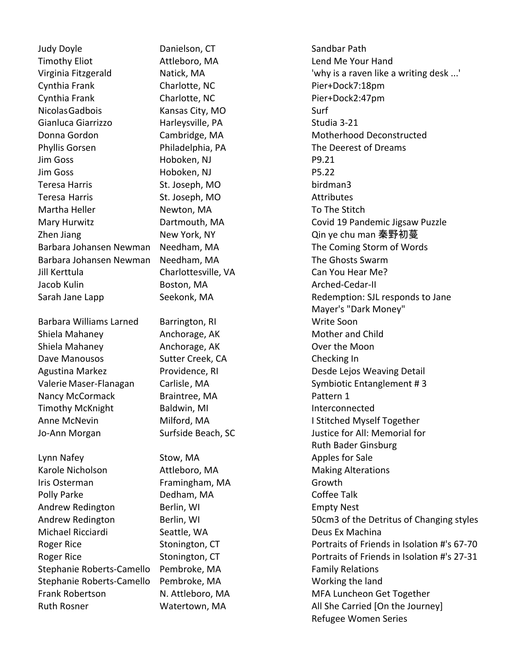Judy Doyle Danielson, CT Sandbar Path Timothy Eliot Attleboro, MA Lend Me Your Hand Cynthia Frank Charlotte, NC Pier+Dock7:18pm Cynthia Frank Charlotte, NC Pier+Dock2:47pm Nicolas Gadbois **Kansas City, MO** Surf Gianluca Giarrizzo della Harleysville, PA di Studia 3-21 Phyllis Gorsen Philadelphia, PA The Deerest of Dreams Jim Goss Hoboken, NJ P9.21 Jim Goss **Hoboken, NJ** P5.22 Teresa Harris **St. Joseph, MO** birdman3 Teresa Harris **St. Joseph, MO Attributes** Martha Heller **Newton, MA** To The Stitch Barbara Johansen Newman Needham, MA The Ghosts Swarm Jill Kerttula Charlottesville, VA Can You Hear Me? Jacob Kulin Boston, MA Arched-Cedar-II

Barbara Williams Larned Barrington, RI New York Riversian Write Soon Shiela Mahaney **Anchorage, AK** Mother and Child Shiela Mahaney **Anchorage, AK Consumer Shiela Moon** Dave Manousos **Sutter Creek, CA** Checking In Nancy McCormack Braintree, MA Pattern 1 Timothy McKnight Baldwin, MI and Burn and Interconnected

Lynn Nafey **Stow, MA** Apples for Sale Karole Nicholson **Attleboro, MA** Making Alterations Iris Osterman **Framingham, MA** Growth Polly Parke Dedham, MA Coffee Talk Andrew Redington Berlin, WI Empty Nest Michael Ricciardi Seattle, WA Deus Ex Machina Stephanie Roberts-Camello Pembroke, MA Family Relations Stephanie Roberts-Camello Pembroke, MA Working the land

Virginia Fitzgerald **Natick, MA** 'why is a raven like a writing desk ...' Donna Gordon Cambridge, MA Motherhood Deconstructed Mary Hurwitz **Covid 19 Pandemic Jigsaw Puzzle** Covid 19 Pandemic Jigsaw Puzzle Zhen Jiang New York, NY Qin ye chu man 秦野初蔓 Barbara Johansen Newman Needham, MA The Coming Storm of Words Sarah Jane Lapp Seekonk, MA Redemption: SJL responds to Jane Mayer's "Dark Money" Agustina Markez **Providence, RI Communist Constructs** Desde Lejos Weaving Detail Valerie Maser-Flanagan Carlisle, MA Symbiotic Entanglement # 3 Anne McNevin **Milford, MA I Stitched Myself Together** Jo-Ann Morgan Surfside Beach, SC Justice for All: Memorial for Ruth Bader Ginsburg Andrew Redington **Berlin, WI 50 CM3 of the Detritus of Changing styles** Roger Rice Stonington, CT Report and Portraits of Friends in Isolation #'s 67-70 Roger Rice Stonington, CT Report Allen Contraits of Friends in Isolation #'s 27-31 Frank Robertson N. Attleboro, MA MFA Luncheon Get Together Ruth Rosner **Matertown, MA** All She Carried [On the Journey] Refugee Women Series